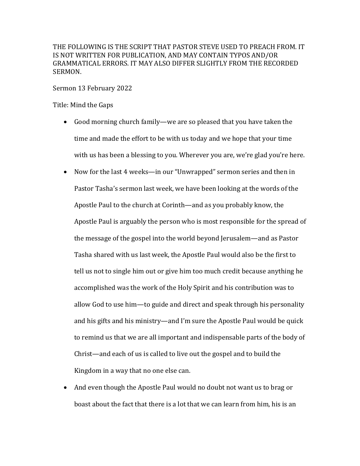THE FOLLOWING IS THE SCRIPT THAT PASTOR STEVE USED TO PREACH FROM. IT IS NOT WRITTEN FOR PUBLICATION, AND MAY CONTAIN TYPOS AND/OR GRAMMATICAL ERRORS. IT MAY ALSO DIFFER SLIGHTLY FROM THE RECORDED SERMON.

Sermon 13 February 2022

Title: Mind the Gaps

- Good morning church family—we are so pleased that you have taken the time and made the effort to be with us today and we hope that your time with us has been a blessing to you. Wherever you are, we're glad you're here.
- Now for the last 4 weeks—in our "Unwrapped" sermon series and then in Pastor Tasha's sermon last week, we have been looking at the words of the Apostle Paul to the church at Corinth—and as you probably know, the Apostle Paul is arguably the person who is most responsible for the spread of the message of the gospel into the world beyond Jerusalem—and as Pastor Tasha shared with us last week, the Apostle Paul would also be the first to tell us not to single him out or give him too much credit because anything he accomplished was the work of the Holy Spirit and his contribution was to allow God to use him—to guide and direct and speak through his personality and his gifts and his ministry—and I'm sure the Apostle Paul would be quick to remind us that we are all important and indispensable parts of the body of Christ—and each of us is called to live out the gospel and to build the Kingdom in a way that no one else can.
- And even though the Apostle Paul would no doubt not want us to brag or boast about the fact that there is a lot that we can learn from him, his is an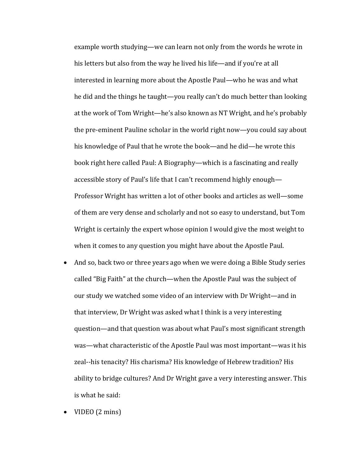example worth studying—we can learn not only from the words he wrote in his letters but also from the way he lived his life—and if you're at all interested in learning more about the Apostle Paul—who he was and what he did and the things he taught—you really can't do much better than looking at the work of Tom Wright—he's also known as NT Wright, and he's probably the pre-eminent Pauline scholar in the world right now—you could say about his knowledge of Paul that he wrote the book—and he did—he wrote this book right here called Paul: A Biography—which is a fascinating and really accessible story of Paul's life that I can't recommend highly enough— Professor Wright has written a lot of other books and articles as well-some of them are very dense and scholarly and not so easy to understand, but Tom Wright is certainly the expert whose opinion I would give the most weight to when it comes to any question you might have about the Apostle Paul.

- And so, back two or three years ago when we were doing a Bible Study series called "Big Faith" at the church—when the Apostle Paul was the subject of our study we watched some video of an interview with Dr Wright—and in that interview, Dr Wright was asked what I think is a very interesting question—and that question was about what Paul's most significant strength was—what characteristic of the Apostle Paul was most important—was it his zeal--his tenacity? His charisma? His knowledge of Hebrew tradition? His ability to bridge cultures? And Dr Wright gave a very interesting answer. This is what he said:
- VIDEO (2 mins)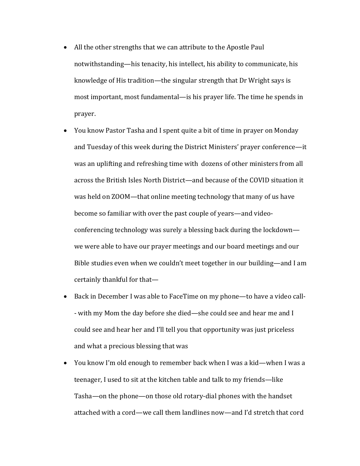- All the other strengths that we can attribute to the Apostle Paul notwithstanding—his tenacity, his intellect, his ability to communicate, his knowledge of His tradition—the singular strength that Dr Wright says is most important, most fundamental—is his prayer life. The time he spends in prayer.
- You know Pastor Tasha and I spent quite a bit of time in prayer on Monday and Tuesday of this week during the District Ministers' prayer conference—it was an uplifting and refreshing time with dozens of other ministers from all across the British Isles North District—and because of the COVID situation it was held on ZOOM—that online meeting technology that many of us have become so familiar with over the past couple of years—and videoconferencing technology was surely a blessing back during the lockdown we were able to have our prayer meetings and our board meetings and our Bible studies even when we couldn't meet together in our building—and I am certainly thankful for that $-$
- Back in December I was able to FaceTime on my phone—to have a video call-- with my Mom the day before she died—she could see and hear me and I could see and hear her and I'll tell you that opportunity was just priceless and what a precious blessing that was
- You know I'm old enough to remember back when I was a kid—when I was a teenager, I used to sit at the kitchen table and talk to my friends—like Tasha—on the phone—on those old rotary-dial phones with the handset attached with a cord—we call them landlines now—and I'd stretch that cord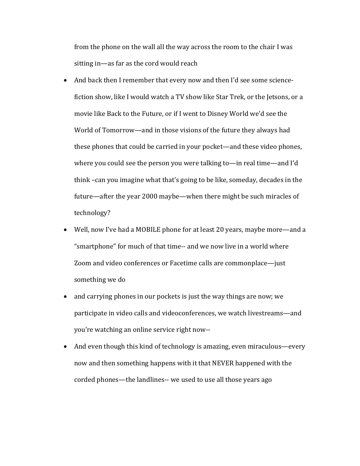from the phone on the wall all the way across the room to the chair I was sitting in—as far as the cord would reach

- And back then I remember that every now and then I'd see some sciencefiction show, like I would watch a TV show like Star Trek, or the Jetsons, or a movie like Back to the Future, or if I went to Disney World we'd see the World of Tomorrow—and in those visions of the future they always had these phones that could be carried in your pocket—and these video phones, where you could see the person you were talking to—in real time—and I'd think -can you imagine what that's going to be like, someday, decades in the future—after the year 2000 maybe—when there might be such miracles of technology?
- Well, now I've had a MOBILE phone for at least 20 years, maybe more—and a " smartphone" for much of that time-- and we now live in a world where Zoom and video conferences or Facetime calls are commonplace—just something we do
- and carrying phones in our pockets is just the way things are now; we participate in video calls and videoconferences, we watch livestreams—and you're watching an online service right now--
- And even though this kind of technology is amazing, even miraculous—every now and then something happens with it that NEVER happened with the corded phones—the landlines-- we used to use all those years ago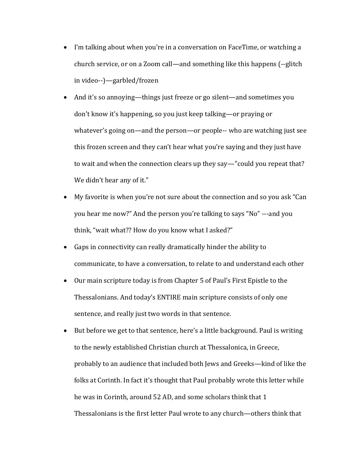- I'm talking about when you're in a conversation on FaceTime, or watching a church service, or on a Zoom call—and something like this happens (--glitch in video--)—garbled/frozen
- And it's so annoying—things just freeze or go silent—and sometimes you don't know it's happening, so you just keep talking—or praying or whatever's going on—and the person—or people-- who are watching just see this frozen screen and they can't hear what you're saying and they just have to wait and when the connection clears up they say—"could you repeat that? We didn't hear any of it."
- My favorite is when you're not sure about the connection and so you ask "Can you hear me now?" And the person you're talking to says "No" ---and you think, "wait what?? How do you know what I asked?"
- Gaps in connectivity can really dramatically hinder the ability to communicate, to have a conversation, to relate to and understand each other
- Our main scripture today is from Chapter 5 of Paul's First Epistle to the Thessalonians. And today's ENTIRE main scripture consists of only one sentence, and really just two words in that sentence.
- But before we get to that sentence, here's a little background. Paul is writing to the newly established Christian church at Thessalonica, in Greece, probably to an audience that included both Jews and Greeks—kind of like the folks at Corinth. In fact it's thought that Paul probably wrote this letter while he was in Corinth, around 52 AD, and some scholars think that 1 Thessalonians is the first letter Paul wrote to any church—others think that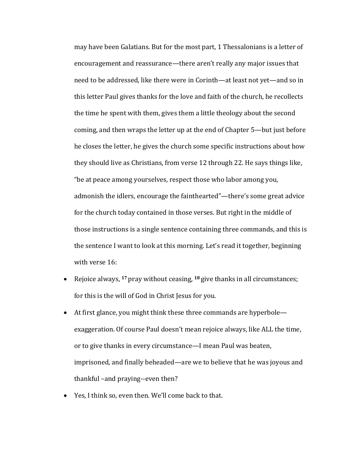may have been Galatians. But for the most part, 1 Thessalonians is a letter of encouragement and reassurance—there aren't really any major issues that need to be addressed, like there were in Corinth—at least not yet—and so in this letter Paul gives thanks for the love and faith of the church, he recollects the time he spent with them, gives them a little theology about the second coming, and then wraps the letter up at the end of Chapter 5—but just before he closes the letter, he gives the church some specific instructions about how they should live as Christians, from verse 12 through 22. He says things like, "be at peace among yourselves, respect those who labor among you, admonish the idlers, encourage the fainthearted"—there's some great advice for the church today contained in those verses. But right in the middle of those instructions is a single sentence containing three commands, and this is the sentence I want to look at this morning. Let's read it together, beginning with verse 16:

- Rejoice always, <sup>17</sup> pray without ceasing, <sup>18</sup> give thanks in all circumstances; for this is the will of God in Christ Jesus for you.
- At first glance, you might think these three commands are hyperbole exaggeration. Of course Paul doesn't mean rejoice always, like ALL the time, or to give thanks in every circumstance—I mean Paul was beaten, imprisoned, and finally beheaded—are we to believe that he was joyous and thankful -and praying--even then?
- Yes, I think so, even then. We'll come back to that.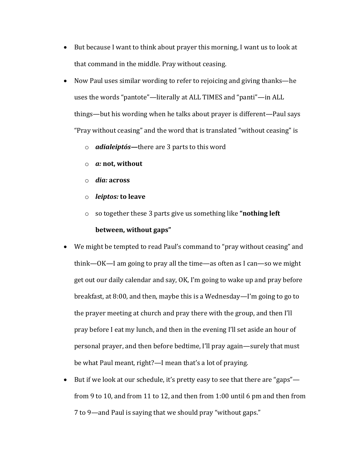- But because I want to think about prayer this morning, I want us to look at that command in the middle. Pray without ceasing.
- Now Paul uses similar wording to refer to rejoicing and giving thanks—he uses the words "pantote"—literally at ALL TIMES and "panti"—in ALL things—but his wording when he talks about prayer is different—Paul says "Pray without ceasing" and the word that is translated "without ceasing" is
	- o *adialeiptós***—there** are 3 parts to this word
	- o *a:* **not, without**
	- o *dia:* **across**
	- o *leiptos:* **to leave**
	- o so together these 3 parts give us something like "nothing left

## **between, without gaps"**

- We might be tempted to read Paul's command to "pray without ceasing" and think—OK—I am going to pray all the time—as often as I can—so we might get out our daily calendar and say, OK, I'm going to wake up and pray before breakfast, at  $8:00$ , and then, maybe this is a Wednesday—I'm going to go to the prayer meeting at church and pray there with the group, and then I'll pray before I eat my lunch, and then in the evening I'll set aside an hour of personal prayer, and then before bedtime, I'll pray again—surely that must be what Paul meant, right?—I mean that's a lot of praying.
- But if we look at our schedule, it's pretty easy to see that there are "gaps" from 9 to 10, and from 11 to 12, and then from 1:00 until 6 pm and then from 7 to 9—and Paul is saying that we should pray "without gaps."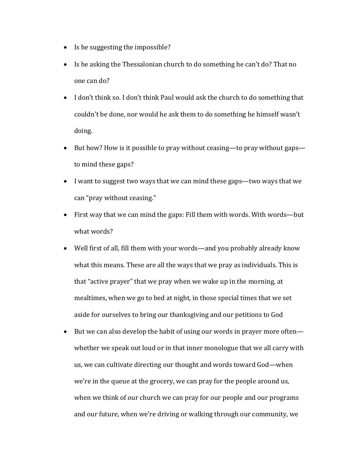- Is he suggesting the impossible?
- Is he asking the Thessalonian church to do something he can't do? That no one can do?
- I don't think so. I don't think Paul would ask the church to do something that couldn't be done, nor would he ask them to do something he himself wasn't doing.
- But how? How is it possible to pray without ceasing—to pray without gaps to mind these gaps?
- I want to suggest two ways that we can mind these gaps—two ways that we can "pray without ceasing."
- First way that we can mind the gaps: Fill them with words. With words—but what words?
- Well first of all, fill them with your words—and you probably already know what this means. These are all the ways that we pray as individuals. This is that "active prayer" that we pray when we wake up in the morning, at mealtimes, when we go to bed at night, in those special times that we set aside for ourselves to bring our thanksgiving and our petitions to God
- But we can also develop the habit of using our words in prayer more often whether we speak out loud or in that inner monologue that we all carry with us, we can cultivate directing our thought and words toward God—when we're in the queue at the grocery, we can pray for the people around us, when we think of our church we can pray for our people and our programs and our future, when we're driving or walking through our community, we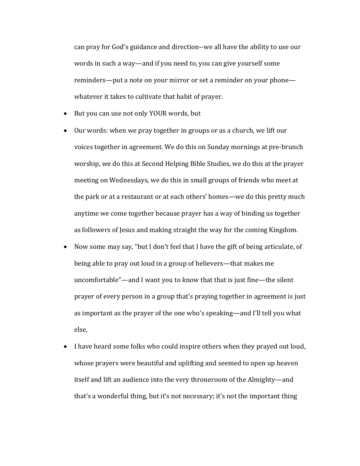can pray for God's guidance and direction--we all have the ability to use our words in such a way—and if you need to, you can give yourself some reminders—put a note on your mirror or set a reminder on your phone whatever it takes to cultivate that habit of prayer.

- But you can use not only YOUR words, but
- Our words: when we pray together in groups or as a church, we lift our voices together in agreement. We do this on Sunday mornings at pre-brunch worship, we do this at Second Helping Bible Studies, we do this at the prayer meeting on Wednesdays, we do this in small groups of friends who meet at the park or at a restaurant or at each others' homes—we do this pretty much anytime we come together because prayer has a way of binding us together as followers of Jesus and making straight the way for the coming Kingdom.
- Now some may say, "but I don't feel that I have the gift of being articulate, of being able to pray out loud in a group of believers—that makes me uncomfortable"—and I want you to know that that is just fine—the silent prayer of every person in a group that's praying together in agreement is just as important as the prayer of the one who's speaking—and I'll tell you what else,
- I have heard some folks who could inspire others when they prayed out loud, whose prayers were beautiful and uplifting and seemed to open up heaven itself and lift an audience into the very throneroom of the Almighty—and that's a wonderful thing, but it's not necessary; it's not the important thing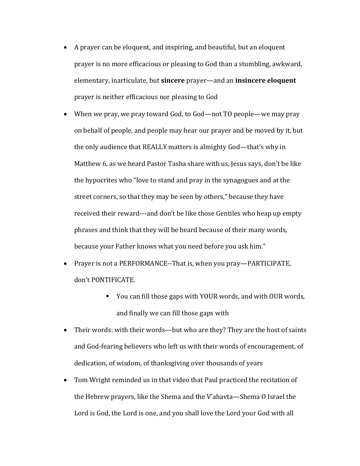- A prayer can be eloquent, and inspiring, and beautiful, but an eloquent prayer is no more efficacious or pleasing to God than a stumbling, awkward, elementary, inarticulate, but **sincere** prayer—and an **insincere eloquent** prayer is neither efficacious nor pleasing to God
- When we pray, we pray toward God, to God—not TO people—we may pray on behalf of people, and people may hear our prayer and be moved by it, but the only audience that REALLY matters is almighty God—that's why in Matthew 6, as we heard Pastor Tasha share with us, Jesus says, don't be like the hypocrites who "love to stand and pray in the synagogues and at the street corners, so that they may be seen by others," because they have received their reward---and don't be like those Gentiles who heap up empty phrases and think that they will be heard because of their many words, because your Father knows what you need before you ask him."
- Prayer is not a PERFORMANCE--That is, when you pray—PARTICIPATE, don't PONTIFICATE.
	- You can fill those gaps with YOUR words, and with OUR words, and finally we can fill those gaps with
- Their words: with their words—but who are they? They are the host of saints and God-fearing believers who left us with their words of encouragement, of dedication, of wisdom, of thanksgiving over thousands of years
- Tom Wright reminded us in that video that Paul practiced the recitation of the Hebrew prayers, like the Shema and the V'ahavta—Shema O Israel the Lord is God, the Lord is one, and you shall love the Lord your God with all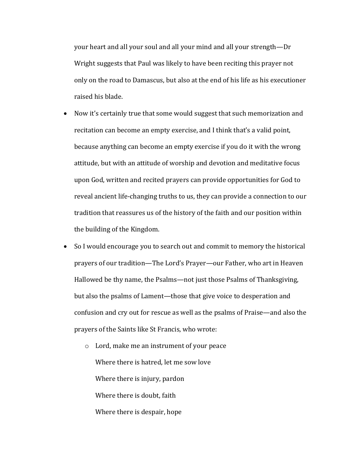your heart and all your soul and all your mind and all your strength—Dr Wright suggests that Paul was likely to have been reciting this prayer not only on the road to Damascus, but also at the end of his life as his executioner raised his blade.

- Now it's certainly true that some would suggest that such memorization and recitation can become an empty exercise, and I think that's a valid point, because anything can become an empty exercise if you do it with the wrong attitude, but with an attitude of worship and devotion and meditative focus upon God, written and recited prayers can provide opportunities for God to reveal ancient life-changing truths to us, they can provide a connection to our tradition that reassures us of the history of the faith and our position within the building of the Kingdom.
- So I would encourage you to search out and commit to memory the historical prayers of our tradition—The Lord's Prayer—our Father, who art in Heaven Hallowed be thy name, the Psalms—not just those Psalms of Thanksgiving, but also the psalms of Lament—those that give voice to desperation and confusion and cry out for rescue as well as the psalms of Praise—and also the prayers of the Saints like St Francis, who wrote:
	- o Lord, make me an instrument of your peace Where there is hatred, let me sow love Where there is injury, pardon Where there is doubt, faith Where there is despair, hope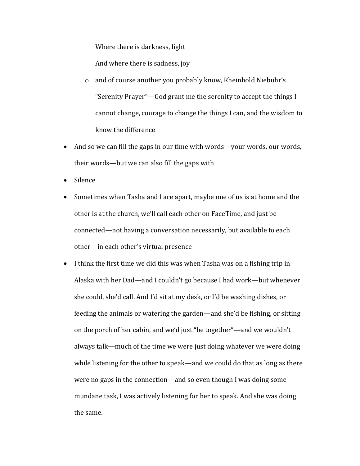Where there is darkness, light

And where there is sadness, joy

- $\circ$  and of course another you probably know, Rheinhold Niebuhr's "Serenity Prayer"—God grant me the serenity to accept the things I cannot change, courage to change the things I can, and the wisdom to know the difference
- And so we can fill the gaps in our time with words—your words, our words, their words—but we can also fill the gaps with
- Silence
- Sometimes when Tasha and I are apart, maybe one of us is at home and the other is at the church, we'll call each other on FaceTime, and just be connected—not having a conversation necessarily, but available to each other—in each other's virtual presence
- I think the first time we did this was when Tasha was on a fishing trip in Alaska with her Dad—and I couldn't go because I had work—but whenever she could, she'd call. And I'd sit at my desk, or I'd be washing dishes, or feeding the animals or watering the garden—and she'd be fishing, or sitting on the porch of her cabin, and we'd just "be together"—and we wouldn't always talk—much of the time we were just doing whatever we were doing while listening for the other to speak—and we could do that as long as there were no gaps in the connection—and so even though I was doing some mundane task, I was actively listening for her to speak. And she was doing the same.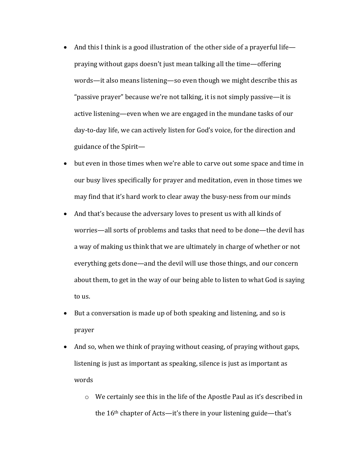- And this I think is a good illustration of the other side of a prayerful life praying without gaps doesn't just mean talking all the time—offering words—it also means listening—so even though we might describe this as "passive prayer" because we're not talking, it is not simply passive—it is active listening—even when we are engaged in the mundane tasks of our day-to-day life, we can actively listen for God's voice, for the direction and guidance of the Spirit-
- but even in those times when we're able to carve out some space and time in our busy lives specifically for prayer and meditation, even in those times we may find that it's hard work to clear away the busy-ness from our minds
- And that's because the adversary loves to present us with all kinds of worries—all sorts of problems and tasks that need to be done—the devil has a way of making us think that we are ultimately in charge of whether or not everything gets done—and the devil will use those things, and our concern about them, to get in the way of our being able to listen to what God is saying to us.
- But a conversation is made up of both speaking and listening, and so is prayer
- And so, when we think of praying without ceasing, of praying without gaps, listening is just as important as speaking, silence is just as important as words
	- $\circ$  We certainly see this in the life of the Apostle Paul as it's described in the  $16<sup>th</sup>$  chapter of Acts—it's there in your listening guide—that's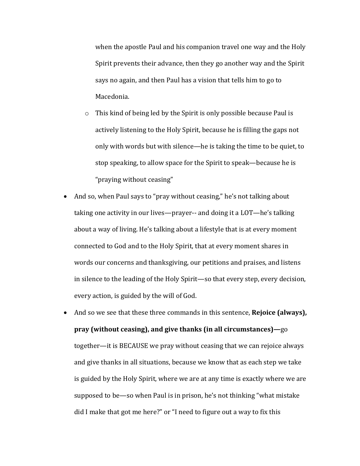when the apostle Paul and his companion travel one way and the Holy Spirit prevents their advance, then they go another way and the Spirit says no again, and then Paul has a vision that tells him to go to Macedonia.

- $\circ$  This kind of being led by the Spirit is only possible because Paul is actively listening to the Holy Spirit, because he is filling the gaps not only with words but with silence—he is taking the time to be quiet, to stop speaking, to allow space for the Spirit to speak—because he is "praying without ceasing"
- And so, when Paul says to "pray without ceasing," he's not talking about taking one activity in our lives—prayer-- and doing it a  $LOT$ —he's talking about a way of living. He's talking about a lifestyle that is at every moment connected to God and to the Holy Spirit, that at every moment shares in words our concerns and thanksgiving, our petitions and praises, and listens in silence to the leading of the Holy Spirit—so that every step, every decision, every action, is guided by the will of God.
- And so we see that these three commands in this sentence, **Rejoice (always)**, **pray** (without ceasing), and give thanks (in all circumstances)—go together—it is BECAUSE we pray without ceasing that we can rejoice always and give thanks in all situations, because we know that as each step we take is guided by the Holy Spirit, where we are at any time is exactly where we are supposed to be—so when Paul is in prison, he's not thinking "what mistake did I make that got me here?" or "I need to figure out a way to fix this